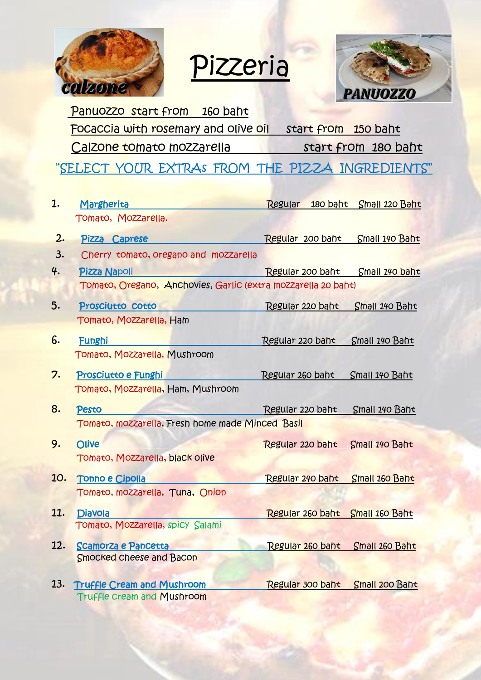

Pizzeria



Panuozzo start from 160 baht Focaccia with rosemary and olive oil start from 150 baht Calzone tomato mozzarella start from 180 baht

"SELECT YOUR EXTRAs FROM THE PIZZA INGREDIENTS"

| 1.                                               | Margherita                                                                                                                                                                                                                           | Regular 180 baht Small 120 Baht |                |  |
|--------------------------------------------------|--------------------------------------------------------------------------------------------------------------------------------------------------------------------------------------------------------------------------------------|---------------------------------|----------------|--|
|                                                  | Tomato, Mozzarella.                                                                                                                                                                                                                  |                                 |                |  |
| 2.                                               | Pizza Caprese                                                                                                                                                                                                                        | Regular 200 baht Small 140 Baht |                |  |
| 3.                                               | Cherry tomato, oregano and mozzarella                                                                                                                                                                                                |                                 |                |  |
| 4.                                               | Pizza Napoli                                                                                                                                                                                                                         | Regular 200 baht                | Small 140 baht |  |
|                                                  | Tomato, Oregano, Anchovies, Garlic (extra mozzarella 20 baht)                                                                                                                                                                        |                                 |                |  |
| 5.                                               | Prosciutto cotto                                                                                                                                                                                                                     | Regular 220 baht                | Small 140 Baht |  |
|                                                  | Tomato, Mozzarella, Ham                                                                                                                                                                                                              |                                 |                |  |
| 6.                                               | <b>Funghi</b>                                                                                                                                                                                                                        | Regular 220 baht                | Small 140 Baht |  |
|                                                  | Tomato, Mozzarella, Mushroom                                                                                                                                                                                                         |                                 |                |  |
| 7.                                               | Prosciutto e Funghi                                                                                                                                                                                                                  | Regular 260 baht                | Small 140 Baht |  |
|                                                  | Tomato, Mozzarella, Ham, Mushroom                                                                                                                                                                                                    |                                 |                |  |
| 8.                                               | Pesto                                                                                                                                                                                                                                | Regular 220 baht Small 140 Baht |                |  |
| Tomato, mozzarella, Fresh home made Minced Basil |                                                                                                                                                                                                                                      |                                 |                |  |
| 9.                                               | Olive                                                                                                                                                                                                                                | Regular 220 baht Small 140 Baht |                |  |
|                                                  | Tomato, Mozzarella, black olive                                                                                                                                                                                                      |                                 |                |  |
| 10.                                              | <b>Tonno e Cipolla and Cipolis Contract Contract Contract Contract Contract Contract Contract Contract Contract Contract Contract Contract Contract Contract Contract Contract Contract Contract Contract Contract Contract Cont</b> | Regular 240 baht Small 160 Baht |                |  |
|                                                  | Tomato, mozzarella, Tuna, Onion                                                                                                                                                                                                      |                                 |                |  |
| 11.                                              | <b>Diavola</b>                                                                                                                                                                                                                       | Regular 260 baht Small 160 Baht |                |  |
|                                                  | Tomato, Mozzarella, spicy Salami                                                                                                                                                                                                     |                                 |                |  |
| 12.                                              | <b>Scamorza e Pancetta</b>                                                                                                                                                                                                           | Regular 260 baht Small 160 Baht |                |  |
|                                                  | Smocked cheese and Bacon                                                                                                                                                                                                             |                                 |                |  |
| 13.                                              | <b>Truffle Cream and Mushroom</b>                                                                                                                                                                                                    | Regular 300 baht Small 200 Baht |                |  |
|                                                  | <b>Truffle cream and Mushroom</b>                                                                                                                                                                                                    |                                 |                |  |